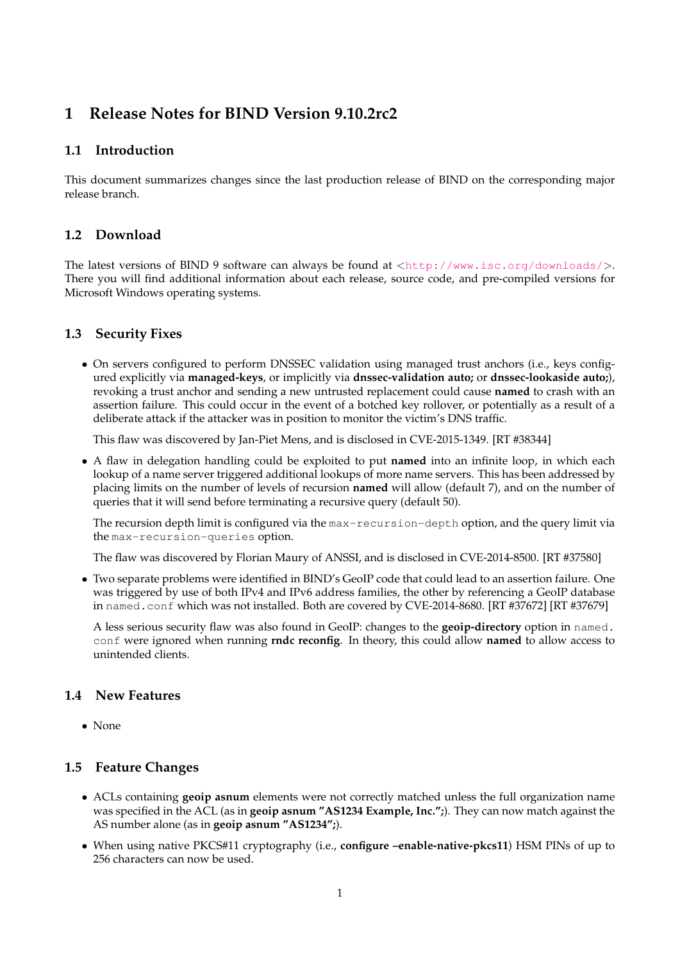# **1 Release Notes for BIND Version 9.10.2rc2**

## **1.1 Introduction**

This document summarizes changes since the last production release of BIND on the corresponding major release branch.

#### **1.2 Download**

The latest versions of BIND 9 software can always be found at  $\langle \text{http://www.isc.org/downloads/}>$  $\langle \text{http://www.isc.org/downloads/}>$  $\langle \text{http://www.isc.org/downloads/}>$ . There you will find additional information about each release, source code, and pre-compiled versions for Microsoft Windows operating systems.

## **1.3 Security Fixes**

• On servers configured to perform DNSSEC validation using managed trust anchors (i.e., keys configured explicitly via **managed-keys**, or implicitly via **dnssec-validation auto;** or **dnssec-lookaside auto;**), revoking a trust anchor and sending a new untrusted replacement could cause **named** to crash with an assertion failure. This could occur in the event of a botched key rollover, or potentially as a result of a deliberate attack if the attacker was in position to monitor the victim's DNS traffic.

This flaw was discovered by Jan-Piet Mens, and is disclosed in CVE-2015-1349. [RT #38344]

• A flaw in delegation handling could be exploited to put **named** into an infinite loop, in which each lookup of a name server triggered additional lookups of more name servers. This has been addressed by placing limits on the number of levels of recursion **named** will allow (default 7), and on the number of queries that it will send before terminating a recursive query (default 50).

The recursion depth limit is configured via the max-recursion-depth option, and the query limit via the max-recursion-queries option.

The flaw was discovered by Florian Maury of ANSSI, and is disclosed in CVE-2014-8500. [RT #37580]

• Two separate problems were identified in BIND's GeoIP code that could lead to an assertion failure. One was triggered by use of both IPv4 and IPv6 address families, the other by referencing a GeoIP database in named.conf which was not installed. Both are covered by CVE-2014-8680. [RT #37672] [RT #37679]

A less serious security flaw was also found in GeoIP: changes to the **geoip-directory** option in named. conf were ignored when running **rndc reconfig**. In theory, this could allow **named** to allow access to unintended clients.

## **1.4 New Features**

• None

#### **1.5 Feature Changes**

- ACLs containing **geoip asnum** elements were not correctly matched unless the full organization name was specified in the ACL (as in **geoip asnum "AS1234 Example, Inc.";**). They can now match against the AS number alone (as in **geoip asnum "AS1234";**).
- When using native PKCS#11 cryptography (i.e., **configure –enable-native-pkcs11**) HSM PINs of up to 256 characters can now be used.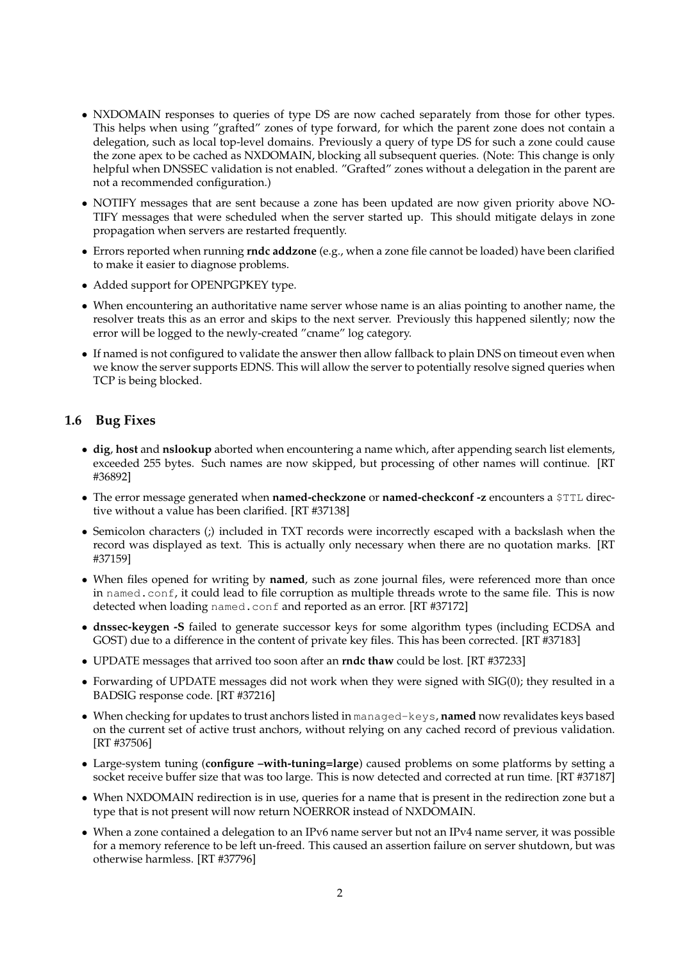- NXDOMAIN responses to queries of type DS are now cached separately from those for other types. This helps when using "grafted" zones of type forward, for which the parent zone does not contain a delegation, such as local top-level domains. Previously a query of type DS for such a zone could cause the zone apex to be cached as NXDOMAIN, blocking all subsequent queries. (Note: This change is only helpful when DNSSEC validation is not enabled. "Grafted" zones without a delegation in the parent are not a recommended configuration.)
- NOTIFY messages that are sent because a zone has been updated are now given priority above NO-TIFY messages that were scheduled when the server started up. This should mitigate delays in zone propagation when servers are restarted frequently.
- Errors reported when running **rndc addzone** (e.g., when a zone file cannot be loaded) have been clarified to make it easier to diagnose problems.
- Added support for OPENPGPKEY type.
- When encountering an authoritative name server whose name is an alias pointing to another name, the resolver treats this as an error and skips to the next server. Previously this happened silently; now the error will be logged to the newly-created "cname" log category.
- If named is not configured to validate the answer then allow fallback to plain DNS on timeout even when we know the server supports EDNS. This will allow the server to potentially resolve signed queries when TCP is being blocked.

## **1.6 Bug Fixes**

- **dig**, **host** and **nslookup** aborted when encountering a name which, after appending search list elements, exceeded 255 bytes. Such names are now skipped, but processing of other names will continue. [RT #36892]
- The error message generated when **named-checkzone** or **named-checkconf -z** encounters a \$TTL directive without a value has been clarified. [RT #37138]
- Semicolon characters (;) included in TXT records were incorrectly escaped with a backslash when the record was displayed as text. This is actually only necessary when there are no quotation marks. [RT #37159]
- When files opened for writing by **named**, such as zone journal files, were referenced more than once in named.conf, it could lead to file corruption as multiple threads wrote to the same file. This is now detected when loading named.conf and reported as an error. [RT #37172]
- **dnssec-keygen -S** failed to generate successor keys for some algorithm types (including ECDSA and GOST) due to a difference in the content of private key files. This has been corrected. [RT #37183]
- UPDATE messages that arrived too soon after an **rndc thaw** could be lost. [RT #37233]
- Forwarding of UPDATE messages did not work when they were signed with SIG(0); they resulted in a BADSIG response code. [RT #37216]
- When checking for updates to trust anchors listed in managed-keys, **named** now revalidates keys based on the current set of active trust anchors, without relying on any cached record of previous validation. [RT #37506]
- Large-system tuning (**configure –with-tuning=large**) caused problems on some platforms by setting a socket receive buffer size that was too large. This is now detected and corrected at run time. [RT #37187]
- When NXDOMAIN redirection is in use, queries for a name that is present in the redirection zone but a type that is not present will now return NOERROR instead of NXDOMAIN.
- When a zone contained a delegation to an IPv6 name server but not an IPv4 name server, it was possible for a memory reference to be left un-freed. This caused an assertion failure on server shutdown, but was otherwise harmless. [RT #37796]